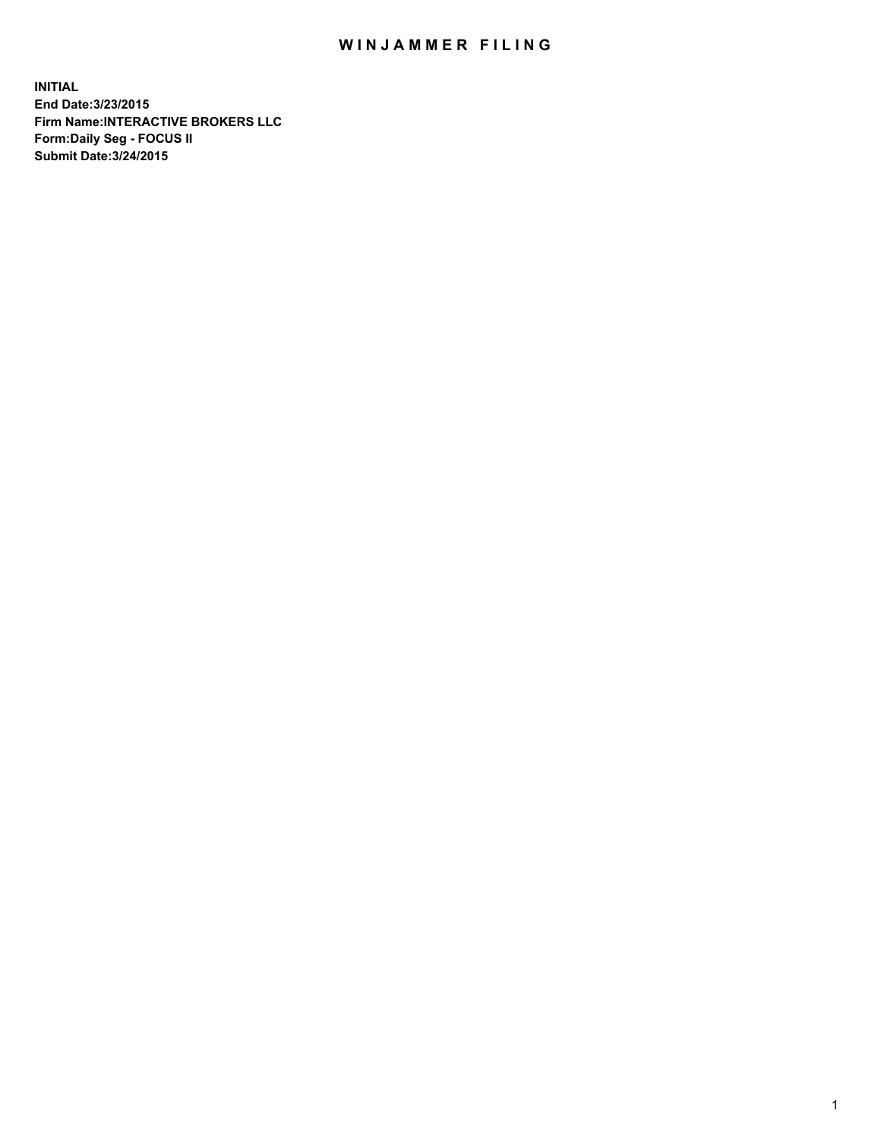## WIN JAMMER FILING

**INITIAL End Date:3/23/2015 Firm Name:INTERACTIVE BROKERS LLC Form:Daily Seg - FOCUS II Submit Date:3/24/2015**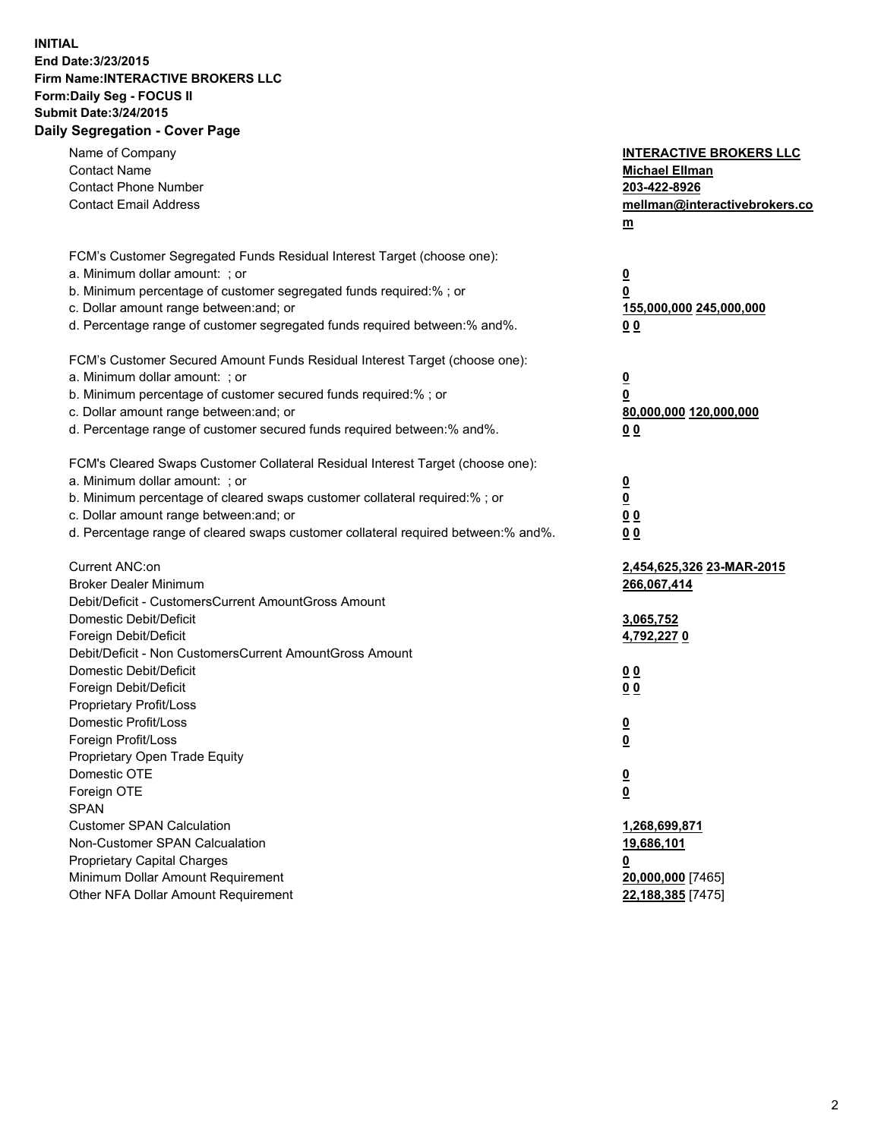## **INITIAL End Date:3/23/2015 Firm Name:INTERACTIVE BROKERS LLC Form:Daily Seg - FOCUS II Submit Date:3/24/2015 Daily Segregation - Cover Page**

| Name of Company                                                                   | <b>INTERACTIVE BROKERS LLC</b> |
|-----------------------------------------------------------------------------------|--------------------------------|
| <b>Contact Name</b>                                                               | <b>Michael Ellman</b>          |
| <b>Contact Phone Number</b>                                                       | 203-422-8926                   |
| <b>Contact Email Address</b>                                                      | mellman@interactivebrokers.co  |
|                                                                                   | $\underline{\mathbf{m}}$       |
|                                                                                   |                                |
| FCM's Customer Segregated Funds Residual Interest Target (choose one):            |                                |
| a. Minimum dollar amount: ; or                                                    | <u>0</u>                       |
| b. Minimum percentage of customer segregated funds required:% ; or                | 0                              |
| c. Dollar amount range between: and; or                                           | <u>155,000,000 245,000,000</u> |
| d. Percentage range of customer segregated funds required between:% and%.         | 00                             |
| FCM's Customer Secured Amount Funds Residual Interest Target (choose one):        |                                |
| a. Minimum dollar amount: ; or                                                    | <u>0</u>                       |
| b. Minimum percentage of customer secured funds required:% ; or                   | 0                              |
| c. Dollar amount range between: and; or                                           | 80,000,000 120,000,000         |
| d. Percentage range of customer secured funds required between:% and%.            | 0 <sub>0</sub>                 |
|                                                                                   |                                |
| FCM's Cleared Swaps Customer Collateral Residual Interest Target (choose one):    |                                |
| a. Minimum dollar amount: ; or                                                    | $\overline{\mathbf{0}}$        |
| b. Minimum percentage of cleared swaps customer collateral required:% ; or        | 0                              |
| c. Dollar amount range between: and; or                                           | 0 <sub>0</sub>                 |
| d. Percentage range of cleared swaps customer collateral required between:% and%. | 0 <sub>0</sub>                 |
|                                                                                   |                                |
| Current ANC:on                                                                    | 2,454,625,326 23-MAR-2015      |
| <b>Broker Dealer Minimum</b>                                                      | 266,067,414                    |
| Debit/Deficit - CustomersCurrent AmountGross Amount                               |                                |
| Domestic Debit/Deficit                                                            | 3,065,752                      |
| Foreign Debit/Deficit                                                             | 4,792,2270                     |
| Debit/Deficit - Non CustomersCurrent AmountGross Amount                           |                                |
| Domestic Debit/Deficit                                                            | 0 <sub>0</sub>                 |
| Foreign Debit/Deficit                                                             | 0 <sub>0</sub>                 |
| Proprietary Profit/Loss                                                           |                                |
| Domestic Profit/Loss                                                              | <u>0</u>                       |
| Foreign Profit/Loss                                                               | $\underline{\mathbf{0}}$       |
| Proprietary Open Trade Equity                                                     |                                |
| Domestic OTE                                                                      | <u>0</u>                       |
| Foreign OTE                                                                       | <u>0</u>                       |
| <b>SPAN</b>                                                                       |                                |
| <b>Customer SPAN Calculation</b>                                                  | 1,268,699,871                  |
| Non-Customer SPAN Calcualation                                                    | 19,686,101                     |
| <b>Proprietary Capital Charges</b>                                                | 0                              |
| Minimum Dollar Amount Requirement                                                 | 20,000,000 [7465]              |
| Other NFA Dollar Amount Requirement                                               | 22,188,385 [7475]              |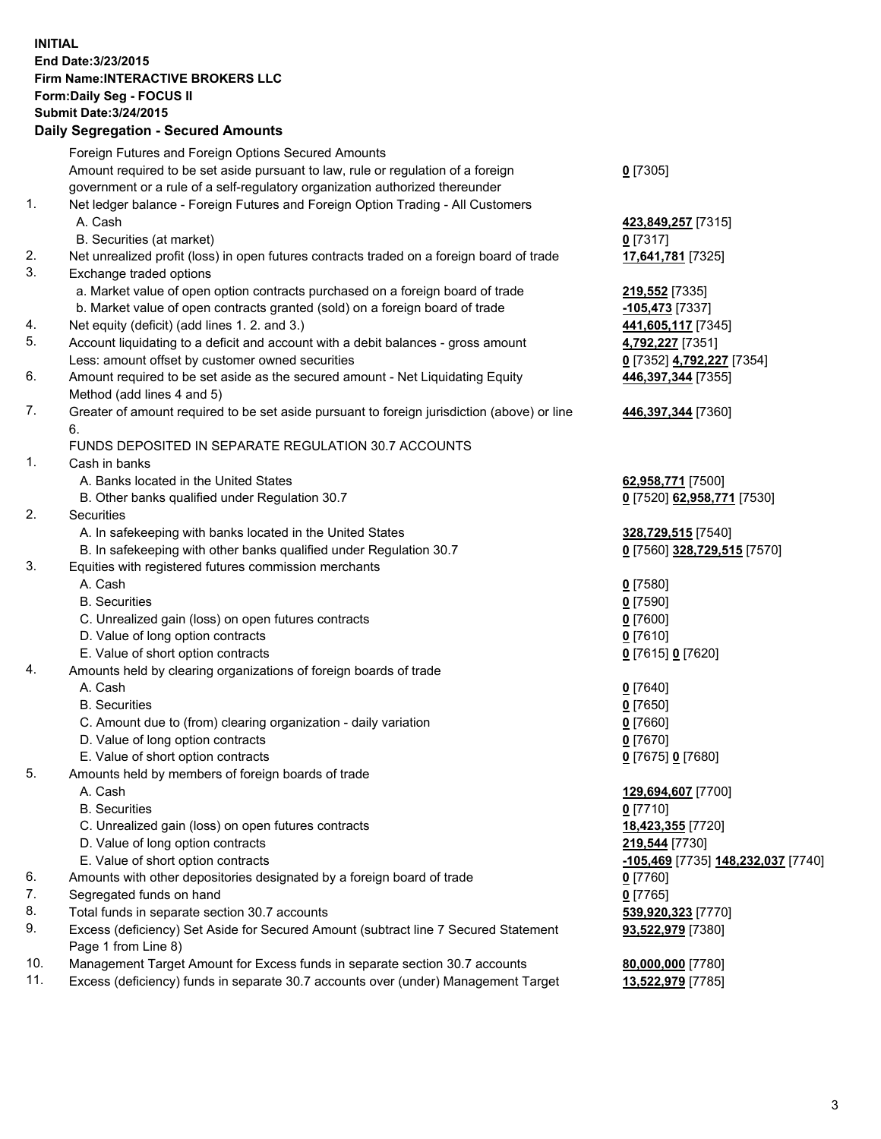## **INITIAL End Date:3/23/2015 Firm Name:INTERACTIVE BROKERS LLC Form:Daily Seg - FOCUS II Submit Date:3/24/2015 Daily Segregation - Secured Amounts**

|     | Foreign Futures and Foreign Options Secured Amounts                                         |                                    |
|-----|---------------------------------------------------------------------------------------------|------------------------------------|
|     | Amount required to be set aside pursuant to law, rule or regulation of a foreign            | $0$ [7305]                         |
|     | government or a rule of a self-regulatory organization authorized thereunder                |                                    |
| 1.  | Net ledger balance - Foreign Futures and Foreign Option Trading - All Customers             |                                    |
|     | A. Cash                                                                                     | 423,849,257 [7315]                 |
|     | B. Securities (at market)                                                                   | $0$ [7317]                         |
| 2.  | Net unrealized profit (loss) in open futures contracts traded on a foreign board of trade   | 17,641,781 [7325]                  |
| 3.  | Exchange traded options                                                                     |                                    |
|     | a. Market value of open option contracts purchased on a foreign board of trade              | 219,552 [7335]                     |
|     | b. Market value of open contracts granted (sold) on a foreign board of trade                | -105,473 [7337]                    |
| 4.  | Net equity (deficit) (add lines 1.2. and 3.)                                                | 441,605,117 [7345]                 |
| 5.  | Account liquidating to a deficit and account with a debit balances - gross amount           | 4,792,227 [7351]                   |
|     | Less: amount offset by customer owned securities                                            | 0 [7352] 4,792,227 [7354]          |
| 6.  | Amount required to be set aside as the secured amount - Net Liquidating Equity              | 446,397,344 [7355]                 |
|     | Method (add lines 4 and 5)                                                                  |                                    |
| 7.  | Greater of amount required to be set aside pursuant to foreign jurisdiction (above) or line | 446,397,344 [7360]                 |
|     | 6.                                                                                          |                                    |
|     | FUNDS DEPOSITED IN SEPARATE REGULATION 30.7 ACCOUNTS                                        |                                    |
| 1.  | Cash in banks                                                                               |                                    |
|     | A. Banks located in the United States                                                       | 62,958,771 [7500]                  |
|     | B. Other banks qualified under Regulation 30.7                                              | 0 [7520] 62,958,771 [7530]         |
| 2.  | Securities                                                                                  |                                    |
|     | A. In safekeeping with banks located in the United States                                   | 328,729,515 [7540]                 |
|     | B. In safekeeping with other banks qualified under Regulation 30.7                          | 0 [7560] 328,729,515 [7570]        |
| 3.  | Equities with registered futures commission merchants                                       |                                    |
|     | A. Cash                                                                                     | $0$ [7580]                         |
|     | <b>B.</b> Securities                                                                        | $0$ [7590]                         |
|     | C. Unrealized gain (loss) on open futures contracts                                         | $0$ [7600]                         |
|     | D. Value of long option contracts                                                           | $0$ [7610]                         |
|     | E. Value of short option contracts                                                          | 0 [7615] 0 [7620]                  |
| 4.  | Amounts held by clearing organizations of foreign boards of trade                           |                                    |
|     | A. Cash                                                                                     | $0$ [7640]                         |
|     | <b>B.</b> Securities                                                                        | <u>0</u> [7650]                    |
|     | C. Amount due to (from) clearing organization - daily variation                             | $0$ [7660]                         |
|     | D. Value of long option contracts                                                           | $0$ [7670]                         |
|     | E. Value of short option contracts                                                          | 0 [7675] 0 [7680]                  |
| 5.  | Amounts held by members of foreign boards of trade                                          |                                    |
|     | A. Cash                                                                                     | 129,694,607 [7700]                 |
|     | <b>B.</b> Securities                                                                        | $0$ [7710]                         |
|     | C. Unrealized gain (loss) on open futures contracts                                         | 18,423,355 [7720]                  |
|     | D. Value of long option contracts                                                           | 219,544 [7730]                     |
|     | E. Value of short option contracts                                                          | -105,469 [7735] 148,232,037 [7740] |
| 6.  | Amounts with other depositories designated by a foreign board of trade                      | 0 [7760]                           |
| 7.  | Segregated funds on hand                                                                    | $0$ [7765]                         |
| 8.  | Total funds in separate section 30.7 accounts                                               | 539,920,323 [7770]                 |
| 9.  | Excess (deficiency) Set Aside for Secured Amount (subtract line 7 Secured Statement         | 93,522,979 [7380]                  |
|     | Page 1 from Line 8)                                                                         |                                    |
| 10. | Management Target Amount for Excess funds in separate section 30.7 accounts                 | 80,000,000 [7780]                  |
| 11. | Excess (deficiency) funds in separate 30.7 accounts over (under) Management Target          | 13,522,979 [7785]                  |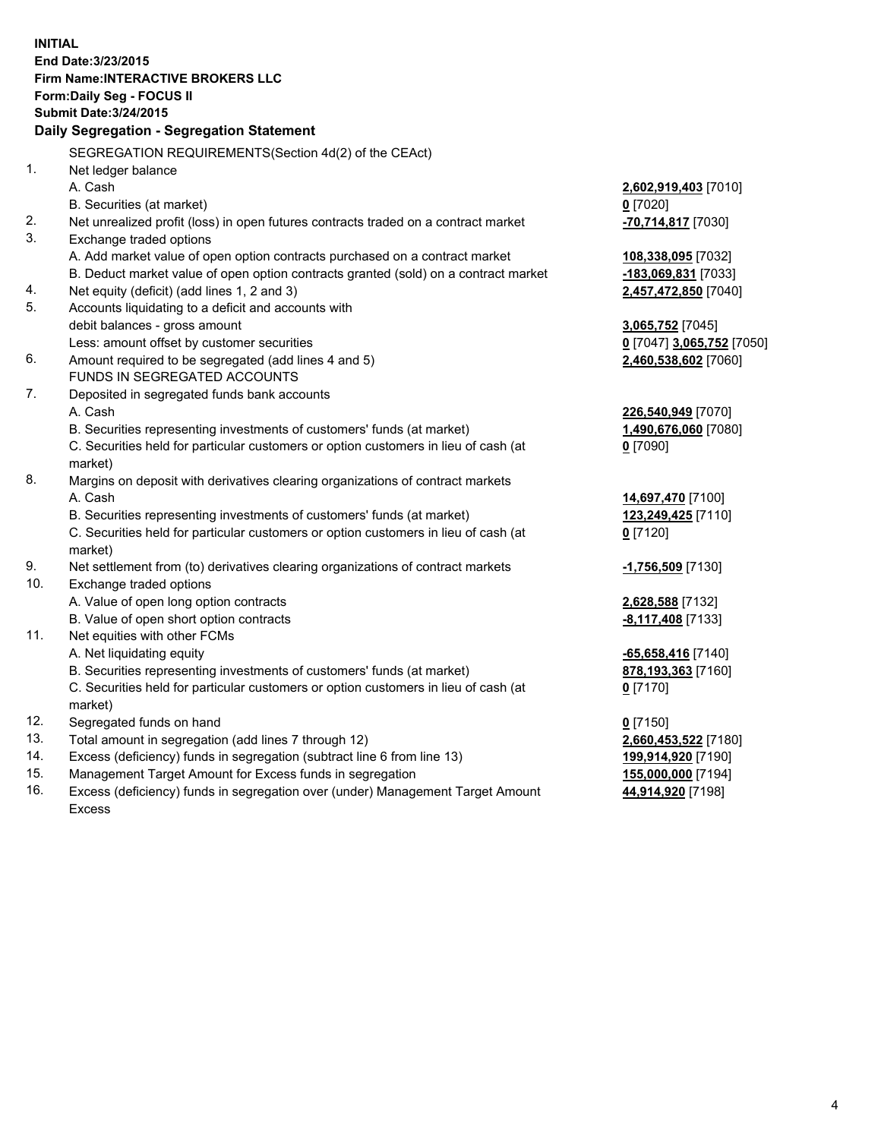**INITIAL End Date:3/23/2015 Firm Name:INTERACTIVE BROKERS LLC Form:Daily Seg - FOCUS II Submit Date:3/24/2015 Daily Segregation - Segregation Statement** SEGREGATION REQUIREMENTS(Section 4d(2) of the CEAct) 1. Net ledger balance A. Cash **2,602,919,403** [7010] B. Securities (at market) **0** [7020] 2. Net unrealized profit (loss) in open futures contracts traded on a contract market **-70,714,817** [7030] 3. Exchange traded options A. Add market value of open option contracts purchased on a contract market **108,338,095** [7032] B. Deduct market value of open option contracts granted (sold) on a contract market **-183,069,831** [7033] 4. Net equity (deficit) (add lines 1, 2 and 3) **2,457,472,850** [7040] 5. Accounts liquidating to a deficit and accounts with debit balances - gross amount **3,065,752** [7045] Less: amount offset by customer securities **0** [7047] **3,065,752** [7050] 6. Amount required to be segregated (add lines 4 and 5) **2,460,538,602** [7060] FUNDS IN SEGREGATED ACCOUNTS 7. Deposited in segregated funds bank accounts A. Cash **226,540,949** [7070] B. Securities representing investments of customers' funds (at market) **1,490,676,060** [7080] C. Securities held for particular customers or option customers in lieu of cash (at market) **0** [7090] 8. Margins on deposit with derivatives clearing organizations of contract markets A. Cash **14,697,470** [7100] B. Securities representing investments of customers' funds (at market) **123,249,425** [7110] C. Securities held for particular customers or option customers in lieu of cash (at market) **0** [7120] 9. Net settlement from (to) derivatives clearing organizations of contract markets **-1,756,509** [7130] 10. Exchange traded options A. Value of open long option contracts **2,628,588** [7132] B. Value of open short option contracts **-8,117,408** [7133] 11. Net equities with other FCMs A. Net liquidating equity **-65,658,416** [7140] B. Securities representing investments of customers' funds (at market) **878,193,363** [7160] C. Securities held for particular customers or option customers in lieu of cash (at market) **0** [7170] 12. Segregated funds on hand **0** [7150] 13. Total amount in segregation (add lines 7 through 12) **2,660,453,522** [7180] 14. Excess (deficiency) funds in segregation (subtract line 6 from line 13) **199,914,920** [7190] 15. Management Target Amount for Excess funds in segregation **155,000,000** [7194]

16. Excess (deficiency) funds in segregation over (under) Management Target Amount Excess

**44,914,920** [7198]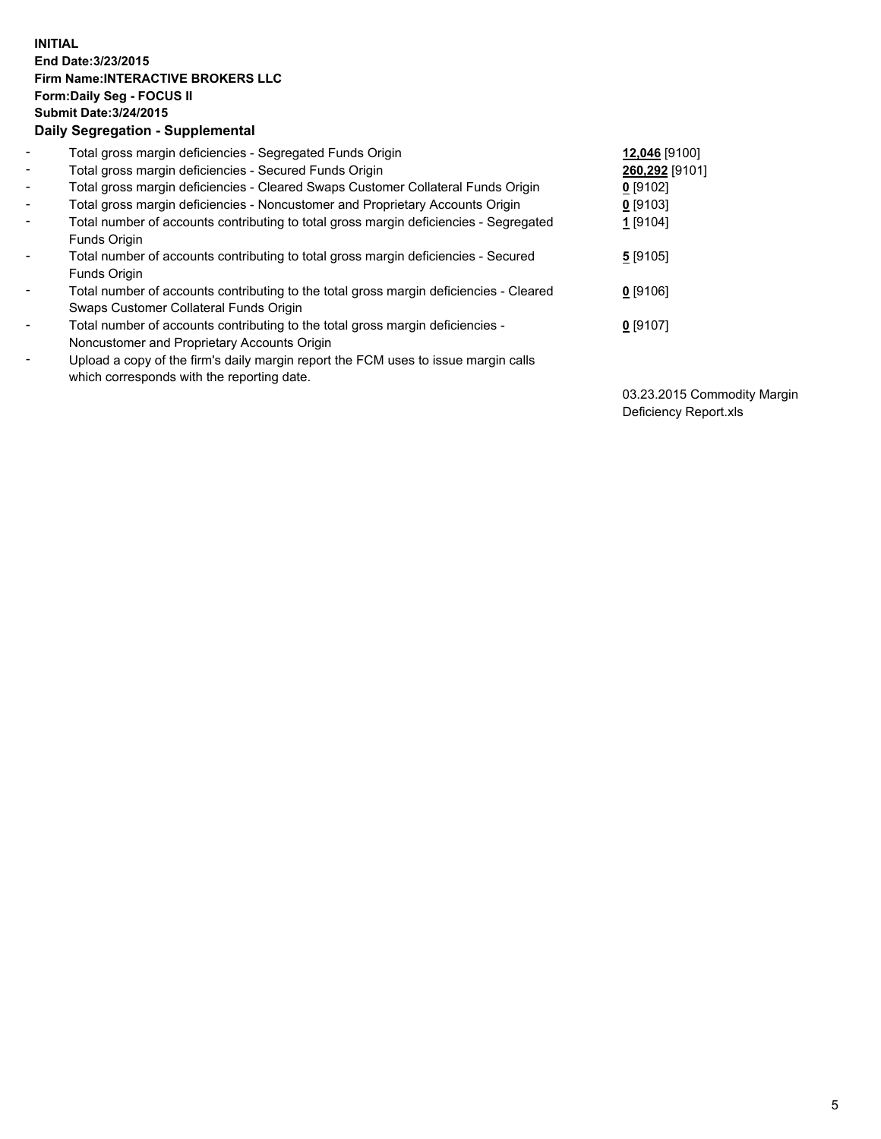## **INITIAL End Date:3/23/2015 Firm Name:INTERACTIVE BROKERS LLC Form:Daily Seg - FOCUS II Submit Date:3/24/2015 Daily Segregation - Supplemental**

| $\blacksquare$           | Total gross margin deficiencies - Segregated Funds Origin                              | 12,046 [9100]  |
|--------------------------|----------------------------------------------------------------------------------------|----------------|
| $\sim$                   | Total gross margin deficiencies - Secured Funds Origin                                 | 260,292 [9101] |
| $\blacksquare$           | Total gross margin deficiencies - Cleared Swaps Customer Collateral Funds Origin       | $0$ [9102]     |
| $\blacksquare$           | Total gross margin deficiencies - Noncustomer and Proprietary Accounts Origin          | $0$ [9103]     |
| $\blacksquare$           | Total number of accounts contributing to total gross margin deficiencies - Segregated  | 1 [9104]       |
|                          | Funds Origin                                                                           |                |
| $\blacksquare$           | Total number of accounts contributing to total gross margin deficiencies - Secured     | 5[9105]        |
|                          | Funds Origin                                                                           |                |
| $\blacksquare$           | Total number of accounts contributing to the total gross margin deficiencies - Cleared | $0$ [9106]     |
|                          | Swaps Customer Collateral Funds Origin                                                 |                |
| $\overline{\phantom{a}}$ | Total number of accounts contributing to the total gross margin deficiencies -         | $0$ [9107]     |
|                          | Noncustomer and Proprietary Accounts Origin                                            |                |
| $\overline{\phantom{a}}$ | Upload a copy of the firm's daily margin report the FCM uses to issue margin calls     |                |
|                          | which corresponds with the reporting date.                                             |                |

03.23.2015 Commodity Margin Deficiency Report.xls